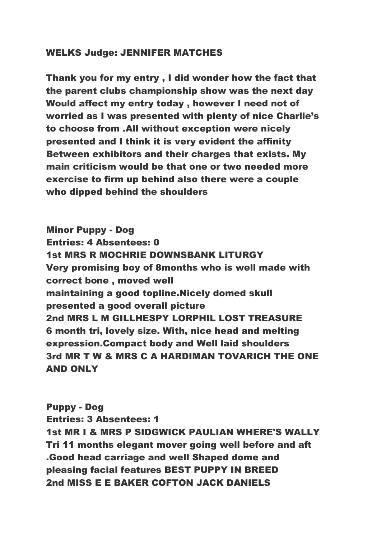#### WELKS Judge: JENNIFER MATCHES

Thank you for my entry , I did wonder how the fact that the parent clubs championship show was the next day Would affect my entry today , however I need not of worried as I was presented with plenty of nice Charlie's to choose from .All without exception were nicely presented and I think it is very evident the affinity Between exhibitors and their charges that exists. My main criticism would be that one or two needed more exercise to firm up behind also there were a couple who dipped behind the shoulders

Minor Puppy - Dog Entries: 4 Absentees: 0 1st MRS R MOCHRIE DOWNSBANK LITURGY Very promising boy of 8months who is well made with correct bone , moved well maintaining a good topline.Nicely domed skull presented a good overall picture 2nd MRS L M GILLHESPY LORPHIL LOST TREASURE 6 month tri, lovely size. With, nice head and melting expression.Compact body and Well laid shoulders 3rd MR T W & MRS C A HARDIMAN TOVARICH THE ONE AND ONLY

Puppy - Dog Entries: 3 Absentees: 1 1st MR I & MRS P SIDGWICK PAULIAN WHERE'S WALLY Tri 11 months elegant mover going well before and aft .Good head carriage and well Shaped dome and pleasing facial features BEST PUPPY IN BREED 2nd MISS E E BAKER COFTON JACK DANIELS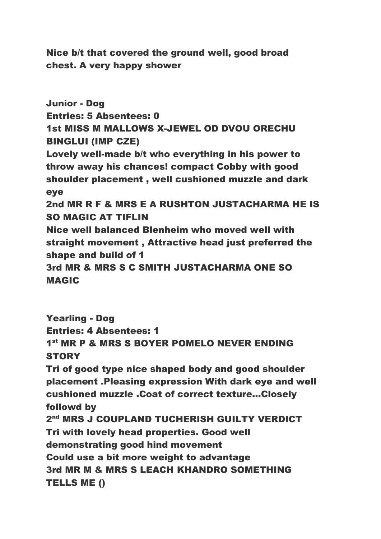Nice b/t that covered the ground well, good broad chest. A very happy shower

Junior - Dog Entries: 5 Absentees: 0 1st MISS M MALLOWS X-JEWEL OD DVOU ORECHU BINGLUI (IMP CZE) Lovely well-made b/t who everything in his power to throw away his chances! compact Cobby with good shoulder placement , well cushioned muzzle and dark eye 2nd MR R F & MRS E A RUSHTON JUSTACHARMA HE IS SO MAGIC AT TIFLIN Nice well balanced Blenheim who moved well with straight movement , Attractive head just preferred the shape and build of 1 3rd MR & MRS S C SMITH JUSTACHARMA ONE SO MAGIC

Yearling - Dog Entries: 4 Absentees: 1 1<sup>st</sup> MR P & MRS S BOYER POMELO NEVER ENDING **STORY** Tri of good type nice shaped body and good shoulder placement .Pleasing expression With dark eye and well cushioned muzzle .Coat of correct texture...Closely followd by 2<sup>nd</sup> MRS J COUPLAND TUCHERISH GUILTY VERDICT Tri with lovely head properties. Good well demonstrating good hind movement Could use a bit more weight to advantage 3rd MR M & MRS S LEACH KHANDRO SOMETHING TELLS ME ()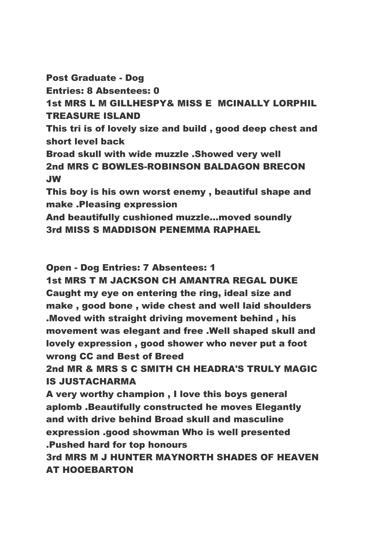Post Graduate - Dog Entries: 8 Absentees: 0 1st MRS L M GILLHESPY& MISS E MCINALLY LORPHIL TREASURE ISLAND This tri is of lovely size and build , good deep chest and short level back Broad skull with wide muzzle .Showed very well 2nd MRS C BOWLES-ROBINSON BALDAGON BRECON JW This boy is his own worst enemy , beautiful shape and make .Pleasing expression And beautifully cushioned muzzle...moved soundly 3rd MISS S MADDISON PENEMMA RAPHAEL

Open - Dog Entries: 7 Absentees: 1

1st MRS T M JACKSON CH AMANTRA REGAL DUKE Caught my eye on entering the ring, ideal size and make , good bone , wide chest and well laid shoulders .Moved with straight driving movement behind , his movement was elegant and free .Well shaped skull and lovely expression , good shower who never put a foot wrong CC and Best of Breed

2nd MR & MRS S C SMITH CH HEADRA'S TRULY MAGIC IS JUSTACHARMA

A very worthy champion , I love this boys general aplomb .Beautifully constructed he moves Elegantly and with drive behind Broad skull and masculine expression .good showman Who is well presented .Pushed hard for top honours

3rd MRS M J HUNTER MAYNORTH SHADES OF HEAVEN AT HOOEBARTON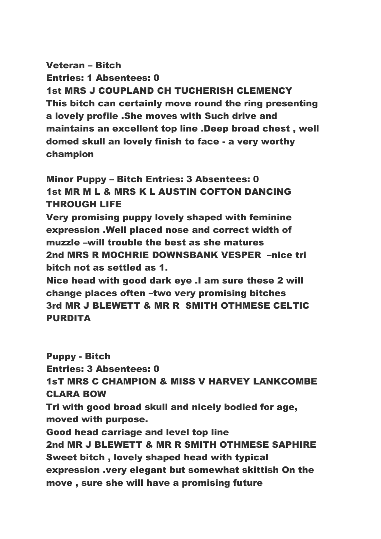# Veteran – Bitch Entries: 1 Absentees: 0 1st MRS J COUPLAND CH TUCHERISH CLEMENCY This bitch can certainly move round the ring presenting a lovely profile .She moves with Such drive and maintains an excellent top line .Deep broad chest , well domed skull an lovely finish to face - a very worthy champion

## Minor Puppy – Bitch Entries: 3 Absentees: 0 1st MR M L & MRS K L AUSTIN COFTON DANCING THROUGH LIFE

Very promising puppy lovely shaped with feminine expression .Well placed nose and correct width of muzzle –will trouble the best as she matures 2nd MRS R MOCHRIE DOWNSBANK VESPER –nice tri bitch not as settled as 1.

Nice head with good dark eye .I am sure these 2 will change places often –two very promising bitches 3rd MR J BLEWETT & MR R SMITH OTHMESE CELTIC PURDITA

Puppy - Bitch Entries: 3 Absentees: 0 1sT MRS C CHAMPION & MISS V HARVEY LANKCOMBE CLARA BOW Tri with good broad skull and nicely bodied for age, moved with purpose. Good head carriage and level top line 2nd MR J BLEWETT & MR R SMITH OTHMESE SAPHIRE Sweet bitch , lovely shaped head with typical expression .very elegant but somewhat skittish On the move , sure she will have a promising future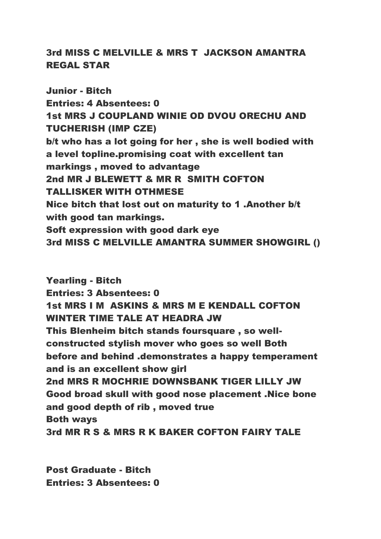## 3rd MISS C MELVILLE & MRS T JACKSON AMANTRA REGAL STAR

Junior - Bitch Entries: 4 Absentees: 0 1st MRS J COUPLAND WINIE OD DVOU ORECHU AND TUCHERISH (IMP CZE) b/t who has a lot going for her , she is well bodied with a level topline.promising coat with excellent tan markings , moved to advantage 2nd MR J BLEWETT & MR R SMITH COFTON TALLISKER WITH OTHMESE Nice bitch that lost out on maturity to 1 .Another b/t with good tan markings. Soft expression with good dark eye 3rd MISS C MELVILLE AMANTRA SUMMER SHOWGIRL ()

Yearling - Bitch Entries: 3 Absentees: 0 1st MRS I M ASKINS & MRS M E KENDALL COFTON WINTER TIME TALE AT HEADRA JW This Blenheim bitch stands foursquare , so wellconstructed stylish mover who goes so well Both before and behind .demonstrates a happy temperament and is an excellent show girl 2nd MRS R MOCHRIE DOWNSBANK TIGER LILLY JW Good broad skull with good nose placement .Nice bone and good depth of rib , moved true Both ways 3rd MR R S & MRS R K BAKER COFTON FAIRY TALE

Post Graduate - Bitch Entries: 3 Absentees: 0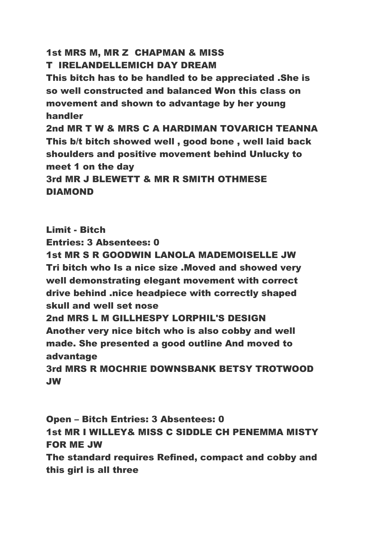### 1st MRS M, MR Z CHAPMAN & MISS T IRELANDELLEMICH DAY DREAM

This bitch has to be handled to be appreciated .She is so well constructed and balanced Won this class on movement and shown to advantage by her young handler

2nd MR T W & MRS C A HARDIMAN TOVARICH TEANNA This b/t bitch showed well , good bone , well laid back shoulders and positive movement behind Unlucky to meet 1 on the day 3rd MR J BLEWETT & MR R SMITH OTHMESE **DIAMOND** 

Limit - Bitch Entries: 3 Absentees: 0 1st MR S R GOODWIN LANOLA MADEMOISELLE JW Tri bitch who Is a nice size .Moved and showed very well demonstrating elegant movement with correct drive behind .nice headpiece with correctly shaped skull and well set nose 2nd MRS L M GILLHESPY LORPHIL'S DESIGN Another very nice bitch who is also cobby and well made. She presented a good outline And moved to advantage 3rd MRS R MOCHRIE DOWNSBANK BETSY TROTWOOD JW

Open – Bitch Entries: 3 Absentees: 0 1st MR I WILLEY& MISS C SIDDLE CH PENEMMA MISTY FOR ME JW The standard requires Refined, compact and cobby and this girl is all three